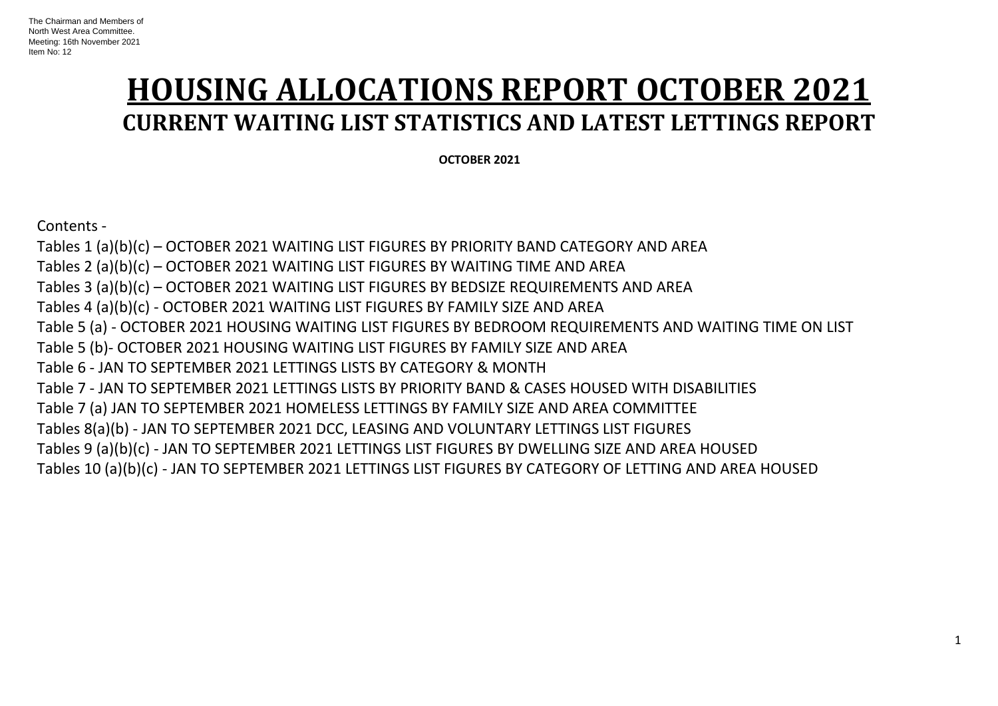# **HOUSING ALLOCATIONS REPORT OCTOBER 2021 CURRENT WAITING LIST STATISTICS AND LATEST LETTINGS REPORT**

 **OCTOBER 2021**

Contents -

Tables 1 (a)(b)(c) – OCTOBER 2021 WAITING LIST FIGURES BY PRIORITY BAND CATEGORY AND AREA Tables 2 (a)(b)(c) – OCTOBER 2021 WAITING LIST FIGURES BY WAITING TIME AND AREA Tables 3 (a)(b)(c) – OCTOBER 2021 WAITING LIST FIGURES BY BEDSIZE REQUIREMENTS AND AREA Tables 4 (a)(b)(c) - OCTOBER 2021 WAITING LIST FIGURES BY FAMILY SIZE AND AREA Table 5 (a) - OCTOBER 2021 HOUSING WAITING LIST FIGURES BY BEDROOM REQUIREMENTS AND WAITING TIME ON LIST Table 5 (b)- OCTOBER 2021 HOUSING WAITING LIST FIGURES BY FAMILY SIZE AND AREA Table 6 - JAN TO SEPTEMBER 2021 LETTINGS LISTS BY CATEGORY & MONTH Table 7 - JAN TO SEPTEMBER 2021 LETTINGS LISTS BY PRIORITY BAND & CASES HOUSED WITH DISABILITIES Table 7 (a) JAN TO SEPTEMBER 2021 HOMELESS LETTINGS BY FAMILY SIZE AND AREA COMMITTEE Tables 8(a)(b) - JAN TO SEPTEMBER 2021 DCC, LEASING AND VOLUNTARY LETTINGS LIST FIGURES Tables 9 (a)(b)(c) - JAN TO SEPTEMBER 2021 LETTINGS LIST FIGURES BY DWELLING SIZE AND AREA HOUSED Tables 10 (a)(b)(c) - JAN TO SEPTEMBER 2021 LETTINGS LIST FIGURES BY CATEGORY OF LETTING AND AREA HOUSED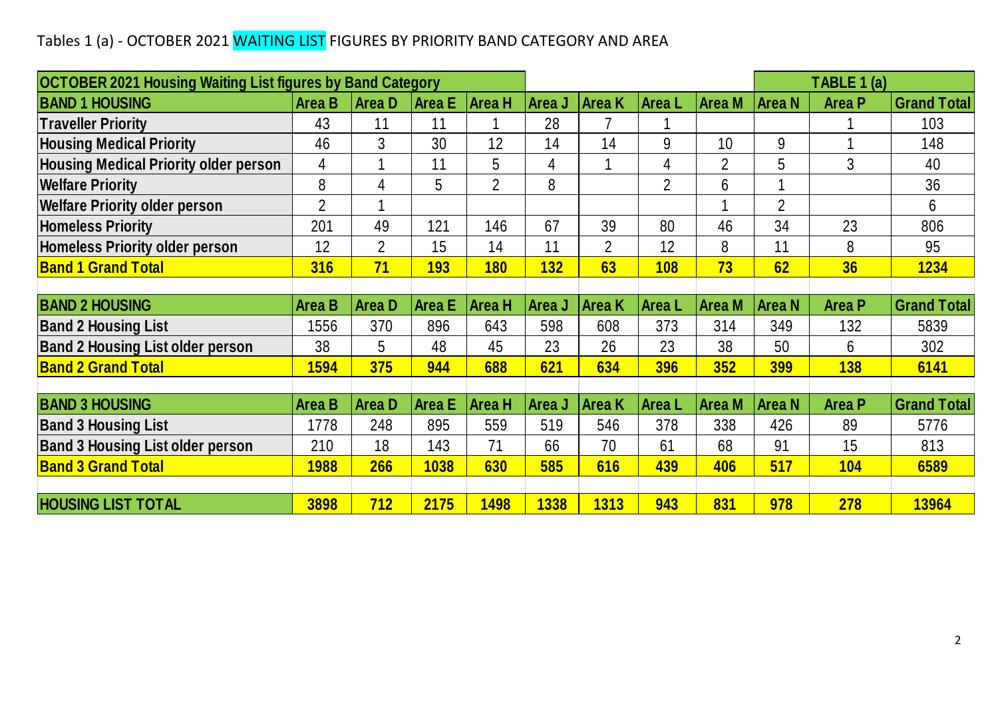### Tables 1 (a) - OCTOBER 2021 WAITING LIST FIGURES BY PRIORITY BAND CATEGORY AND AREA

| Tables 1 (a) - OCTOBER 2021 WAITING LIST FIGURES BY PRIORITY BAND CATEGORY AND AREA |                |                |               |                |                |                |                |                |                |               |                    |
|-------------------------------------------------------------------------------------|----------------|----------------|---------------|----------------|----------------|----------------|----------------|----------------|----------------|---------------|--------------------|
|                                                                                     |                |                |               |                |                |                |                |                |                |               |                    |
| <b>OCTOBER 2021 Housing Waiting List figures by Band Category</b>                   |                |                |               |                |                |                |                |                |                | TABLE 1 (a)   |                    |
| <b>BAND 1 HOUSING</b>                                                               | <b>Area B</b>  | <b>AreaD</b>   | Area E        | <b>Area H</b>  | Area J         | <b>Area K</b>  | Area L         | <b>Area M</b>  | <b>Area N</b>  | <b>Area P</b> | <b>Grand Total</b> |
| <b>Traveller Priority</b>                                                           | 43             | 11             | 11            |                | 28             | 7              |                |                |                |               | 103                |
| <b>Housing Medical Priority</b>                                                     | 46             | 3              | 30            | 12             | 14             | 14             | 9              | 10             | 9              |               | 148                |
| <b>Housing Medical Priority older person</b>                                        | 4              | 1              | 11            | 5              | $\overline{4}$ | 1              | 4              | $\overline{2}$ | 5              | 3             | 40                 |
| <b>Welfare Priority</b>                                                             | 8              | 4              | 5             | $\overline{2}$ | 8              |                | $\overline{2}$ | 6              | 1              |               | 36                 |
| <b>Welfare Priority older person</b>                                                | $\overline{2}$ |                |               |                |                |                |                |                | $\overline{2}$ |               | 6                  |
| <b>Homeless Priority</b>                                                            | 201            | 49             | 121           | 146            | 67             | 39             | 80             | 46             | 34             | 23            | 806                |
| <b>Homeless Priority older person</b>                                               | 12             | $\overline{2}$ | 15            | 14             | 11             | $\overline{2}$ | 12             | 8              | 11             | 8             | 95                 |
| <b>Band 1 Grand Total</b>                                                           | 316            | 71             | 193           | <b>180</b>     | 132            | 63             | <b>108</b>     | 73             | 62             | 36            | 1234               |
|                                                                                     |                |                |               |                |                |                |                |                |                |               |                    |
| <b>BAND 2 HOUSING</b>                                                               | <b>Area B</b>  | <b>AreaD</b>   | <b>Area E</b> | <b>Area H</b>  | Area J         | <b>Area</b> K  | Area L         | <b>Area M</b>  | <b>Area N</b>  | <b>Area P</b> | <b>Grand Total</b> |
| <b>Band 2 Housing List</b>                                                          | 1556           | 370            | 896           | 643            | 598            | 608            | 373            | 314            | 349            | 132           | 5839               |
| <b>Band 2 Housing List older person</b>                                             | 38             | 5              | 48            | 45             | 23             | 26             | 23             | 38             | 50             | 6             | 302                |
| <b>Band 2 Grand Total</b>                                                           | <b>1594</b>    | 375            | 944           | 688            | 621            | 634            | 396            | 352            | <b>399</b>     | <b>138</b>    | 6141               |
|                                                                                     |                |                |               |                |                |                |                |                |                |               |                    |
| <b>BAND 3 HOUSING</b>                                                               | <b>Area B</b>  | <b>AreaD</b>   | <b>Area</b> E | <b>Area H</b>  | Area J         | Area K         | <b>AreaL</b>   | <b>Area M</b>  | <b>Area N</b>  | <b>Area P</b> | <b>Grand Total</b> |
| <b>Band 3 Housing List</b>                                                          | 1778           | 248            | 895           | 559            | 519            | 546            | 378            | 338            | 426            | 89            | 5776               |
| <b>Band 3 Housing List older person</b>                                             | 210            | 18             | 143           | 71             | 66             | 70             | 61             | 68             | 91             | 15            | 813                |
| <b>Band 3 Grand Total</b>                                                           | <b>1988</b>    | 266            | 1038          | 630            | 585            | 616            | 439            | 406            | 517            | 104           | 6589               |
|                                                                                     |                |                |               |                |                |                |                |                |                |               |                    |
| <b>HOUSING LIST TOTAL</b>                                                           | 3898           | 712            | 2175          | 1498           | 1338           | 1313           | 943            | 831            | 978            | 278           | 13964              |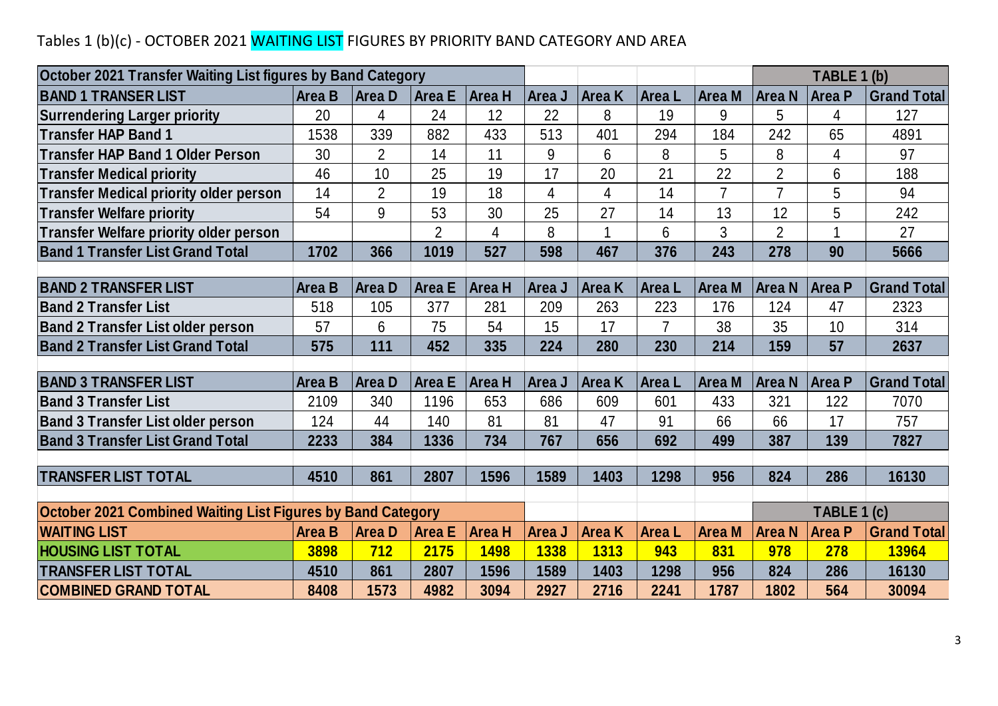### Tables 1 (b)(c) - OCTOBER 2021 WAITING LIST FIGURES BY PRIORITY BAND CATEGORY AND AREA

| Tables 1 (b)(c) - OCTOBER 2021 WAITING LIST FIGURES BY PRIORITY BAND CATEGORY AND AREA |               |                |                |                       |             |                              |        |                      |                |                              |                    |
|----------------------------------------------------------------------------------------|---------------|----------------|----------------|-----------------------|-------------|------------------------------|--------|----------------------|----------------|------------------------------|--------------------|
| October 2021 Transfer Waiting List figures by Band Category                            |               |                |                |                       |             |                              |        |                      |                | TABLE 1 (b)                  |                    |
| <b>BAND 1 TRANSER LIST</b>                                                             | <b>Area B</b> | Area D         | <b>Area E</b>  | Area H                | Area J      | <b>Area K</b>                | Area L | <b>Area M</b>        | <b>Area N</b>  | <b>Area P</b>                | <b>Grand Total</b> |
| <b>Surrendering Larger priority</b>                                                    | 20            | 4              | 24             | 12                    | 22          | 8                            | 19     | 9                    | 5              | 4                            | 127                |
| <b>Transfer HAP Band 1</b>                                                             | 1538          | 339            | 882            | 433                   | 513         | 401                          | 294    | 184                  | 242            | 65                           | 4891               |
| <b>Transfer HAP Band 1 Older Person</b>                                                | 30            | $\overline{2}$ | 14             | 11                    | 9           | 6                            | 8      | 5                    | 8              | 4                            | 97                 |
| <b>Transfer Medical priority</b>                                                       | 46            | 10             | 25             | 19                    | 17          | 20                           | 21     | 22                   | $\overline{2}$ | 6                            | 188                |
| <b>Transfer Medical priority older person</b>                                          | 14            | $\overline{2}$ | 19             | 18                    | 4           | 4                            | 14     | $\overline{7}$       | $\overline{7}$ | 5                            | 94                 |
| <b>Transfer Welfare priority</b>                                                       | 54            | 9              | 53             | 30                    | 25          | 27                           | 14     | 13                   | 12             | 5                            | 242                |
| <b>Transfer Welfare priority older person</b>                                          |               |                | $\overline{2}$ | 4                     | 8           |                              | 6      | 3                    | $\overline{2}$ |                              | 27                 |
| <b>Band 1 Transfer List Grand Total</b>                                                | 1702          | 366            | 1019           | 527                   | 598         | 467                          | 376    | 243                  | 278            | 90                           | 5666               |
|                                                                                        |               |                |                |                       |             |                              |        |                      |                |                              |                    |
| <b>BAND 2 TRANSFER LIST</b>                                                            | <b>Area B</b> | Area D         | <b>Area E</b>  | Area H                | Area J      | <b>Area</b> K                | Area L | <b>Area M</b>        | <b>Area N</b>  | Area P                       | <b>Grand Total</b> |
| <b>Band 2 Transfer List</b>                                                            | 518           | 105            | 377            | 281                   | 209         | 263                          | 223    | 176                  | 124            | 47                           | 2323               |
| <b>Band 2 Transfer List older person</b>                                               | 57            | 6              | 75             | 54                    | 15          | 17                           | 7      | 38                   | 35             | 10                           | 314                |
| <b>Band 2 Transfer List Grand Total</b>                                                | 575           | 111            | 452            | 335                   | 224         | 280                          | 230    | 214                  | 159            | 57                           | 2637               |
|                                                                                        |               |                |                |                       |             |                              |        |                      |                |                              |                    |
|                                                                                        |               |                |                |                       |             |                              |        |                      |                |                              |                    |
| <b>BAND 3 TRANSFER LIST</b>                                                            | <b>Area B</b> | <b>AreaD</b>   | <b>Area E</b>  | Area H                | Area J      | <b>Area K</b>                | Area L | Area M               | <b>Area N</b>  | Area P                       | <b>Grand Total</b> |
| <b>Band 3 Transfer List</b>                                                            | 2109          | 340            | 1196           | 653                   | 686         | 609                          | 601    | 433                  | 321            | 122                          | 7070               |
| <b>Band 3 Transfer List older person</b>                                               | 124           | 44             | 140            | 81                    | 81          | 47                           | 91     | 66                   | 66             | 17                           | 757                |
| <b>Band 3 Transfer List Grand Total</b>                                                | 2233          | 384            | 1336           | 734                   | 767         | 656                          | 692    | 499                  | 387            | 139                          | 7827               |
|                                                                                        |               |                |                |                       |             |                              |        |                      |                |                              |                    |
| <b>TRANSFER LIST TOTAL</b>                                                             | 4510          | 861            | 2807           | 1596                  | 1589        | 1403                         | 1298   | 956                  | 824            | 286                          | 16130              |
|                                                                                        |               |                |                |                       |             |                              |        |                      |                |                              |                    |
| October 2021 Combined Waiting List Figures by Band Category<br><b>WAITING LIST</b>     | <b>Area B</b> | Area D         | <b>Area E</b>  |                       | Area J      |                              | Area L |                      | Area N         | TABLE 1 (c)<br><b>Area P</b> |                    |
| <b>HOUSING LIST TOTAL</b>                                                              | 3898          | 712            | 2175           | Area H<br><b>1498</b> | <b>1338</b> | <b>Area K</b><br><b>1313</b> | 943    | <b>Area M</b><br>831 | 978            | 278                          | <b>Grand Total</b> |
| <b>TRANSFER LIST TOTAL</b>                                                             | 4510          | 861            | 2807           | 1596                  | 1589        | 1403                         | 1298   | 956                  | 824            | 286                          | 13964<br>16130     |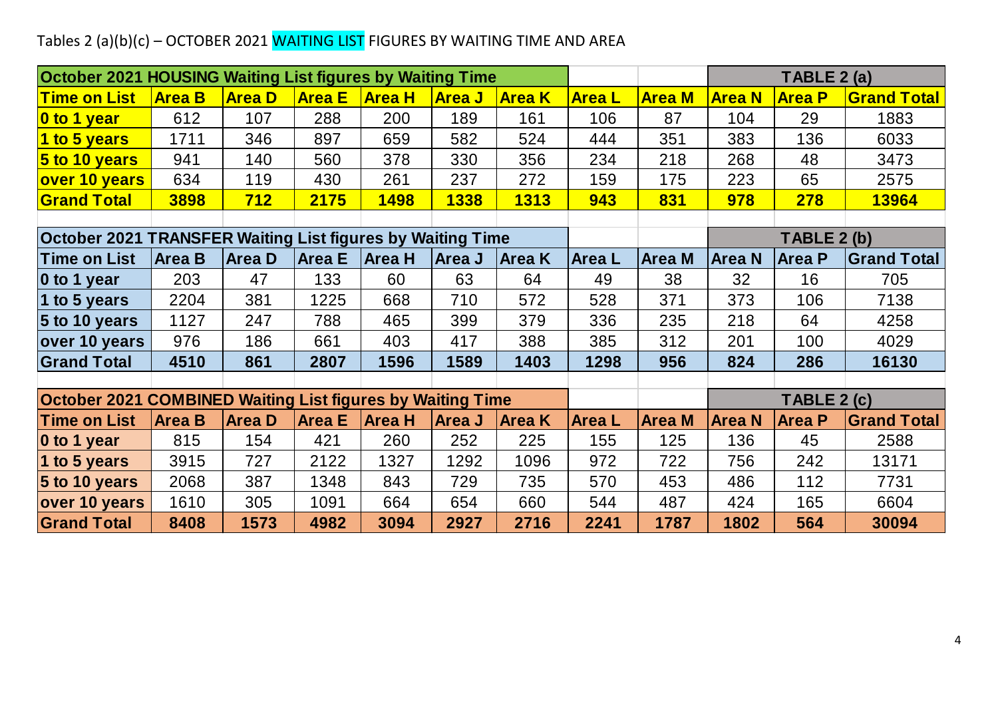## Tables 2 (a)(b)(c) – OCTOBER 2021 WAITING LIST FIGURES BY WAITING TIME AND AREA

| Tables 2 (a)(b)(c) - OCTOBER 2021 WAITING LIST FIGURES BY WAITING TIME AND AREA |               |               |               |                      |               |               |               |               |               |               |                    |
|---------------------------------------------------------------------------------|---------------|---------------|---------------|----------------------|---------------|---------------|---------------|---------------|---------------|---------------|--------------------|
|                                                                                 |               |               |               |                      |               |               |               |               |               |               |                    |
| October 2021 HOUSING Waiting List figures by Waiting Time                       |               |               |               |                      |               |               |               |               |               | TABLE 2 (a)   |                    |
| <b>Time on List</b>                                                             | <b>Area B</b> | <b>Area D</b> | <b>Area E</b> | <mark> Area H</mark> | <b>Area J</b> | <b>Area K</b> | <b>AreaL</b>  | <b>Area M</b> | <b>Area N</b> | <b>Area P</b> | <b>Grand Total</b> |
| 0 to 1 year                                                                     | 612           | 107           | 288           | 200                  | 189           | 161           | 106           | 87            | 104           | 29            | 1883               |
| 1 to 5 years                                                                    | 1711          | 346           | 897           | 659                  | 582           | 524           | 444           | 351           | 383           | 136           | 6033               |
| $5$ to 10 years                                                                 | 941           | 140           | 560           | 378                  | 330           | 356           | 234           | 218           | 268           | 48            | 3473               |
| over 10 years                                                                   | 634           | 119           | 430           | 261                  | 237           | 272           | 159           | 175           | 223           | 65            | 2575               |
| <b>Grand Total</b>                                                              | 3898          | 712           | 2175          | <b>1498</b>          | 1338          | 1313          | 943           | 831           | 978           | 278           | <b>13964</b>       |
|                                                                                 |               |               |               |                      |               |               |               |               |               |               |                    |
| <b>October 2021 TRANSFER Waiting List figures by Waiting Time</b>               |               |               |               |                      |               |               | TABLE 2 (b)   |               |               |               |                    |
| <b>Time on List</b>                                                             | <b>Area B</b> | <b>Area D</b> | <b>Area E</b> | <b>Area H</b>        | Area J        | Area K        | <b>Area</b> L | <b>Area M</b> | <b>Area N</b> | <b>Area P</b> | <b>Grand Total</b> |
| 0 to 1 year                                                                     | 203           | 47            | 133           | 60                   | 63            | 64            | 49            | 38            | 32            | 16            | 705                |
| 1 to 5 years                                                                    | 2204          | 381           | 1225          | 668                  | 710           | 572           | 528           | 371           | 373           | 106           | 7138               |
| 5 to 10 years                                                                   | 1127          | 247           | 788           | 465                  | 399           | 379           | 336           | 235           | 218           | 64            | 4258               |
| over 10 years                                                                   | 976           | 186           | 661           | 403                  | 417           | 388           | 385           | 312           | 201           | 100           | 4029               |
| <b>Grand Total</b>                                                              | 4510          | 861           | 2807          | 1596                 | 1589          | 1403          | 1298          | 956           | 824           | 286           | 16130              |
|                                                                                 |               |               |               |                      |               |               |               |               |               |               |                    |
| <b>October 2021 COMBINED Waiting List figures by Waiting Time</b>               |               |               |               |                      |               |               |               |               |               | TABLE 2 (c)   |                    |
| <b>Time on List</b>                                                             | <b>Area B</b> | <b>Area D</b> | <b>Area E</b> | <b>Area H</b>        | <b>Area J</b> | <b>Area K</b> | <b>AreaL</b>  | <b>Area M</b> | <b>Area N</b> | <b>Area P</b> | <b>Grand Total</b> |
| 0 to 1 year                                                                     | 815           | 154           | 421           | 260                  | 252           | 225           | 155           | 125           | 136           | 45            | 2588               |
| 1 to 5 years                                                                    | 3915          | 727           | 2122          | 1327                 | 1292          | 1096          | 972           | 722           | 756           | 242           | 13171              |
| $5$ to 10 years                                                                 | 2068          | 387           | 1348          | 843                  | 729           | 735           | 570           | 453           | 486           | 112           | 7731               |
| over 10 years                                                                   | 1610          | 305           | 1091          | 664                  | 654           | 660           | 544           | 487           | 424           | 165           | 6604               |
| <b>Grand Total</b>                                                              | 8408          | 1573          | 4982          | 3094                 | 2927          | 2716          | 2241          | 1787          | 1802          | 564           | 30094              |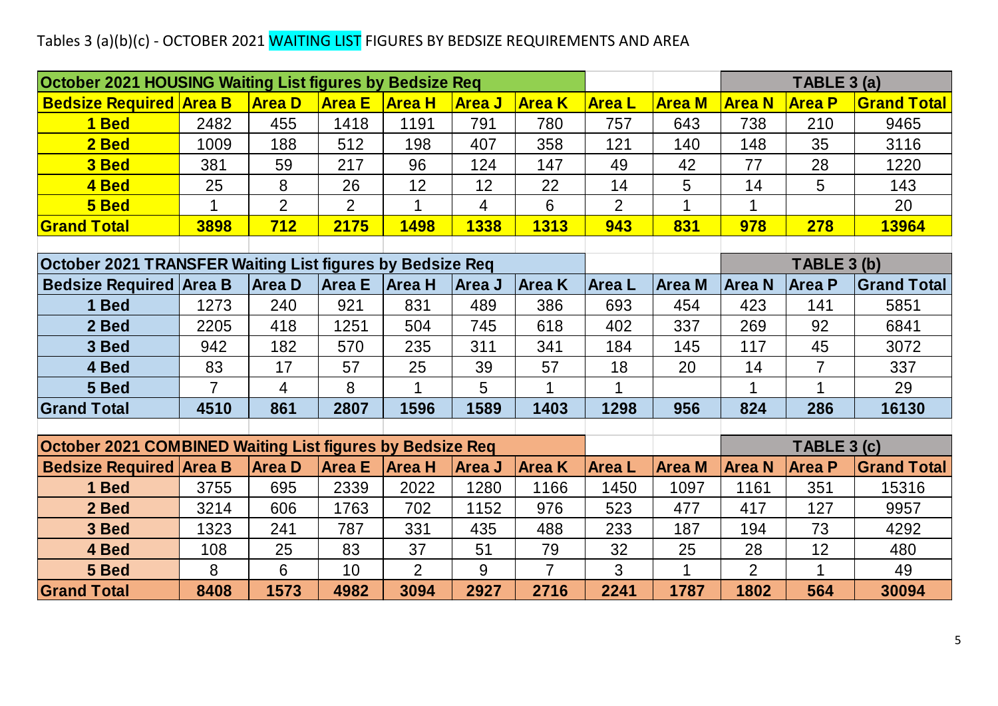### Tables 3 (a)(b)(c) - OCTOBER 2021 WAITING LIST FIGURES BY BEDSIZE REQUIREMENTS AND AREA

| Tables 3 (a)(b)(c) - OCTOBER 2021 WAITING LIST FIGURES BY BEDSIZE REQUIREMENTS AND AREA |                |                |                |                |                |                |                |               |                |                |                    |
|-----------------------------------------------------------------------------------------|----------------|----------------|----------------|----------------|----------------|----------------|----------------|---------------|----------------|----------------|--------------------|
|                                                                                         |                |                |                |                |                |                |                |               |                |                |                    |
| October 2021 HOUSING Waiting List figures by Bedsize Req                                |                |                |                |                |                |                |                |               |                | TABLE 3 (a)    |                    |
| <b>Bedsize Required Area B</b>                                                          |                | <b>Area D</b>  | <b>Area E</b>  | <b>Area H</b>  | <b>Area J</b>  | <b>Area</b> K  | <b>Area L</b>  | <b>Area M</b> | <b>Area N</b>  | <b>Area P</b>  | <b>Grand Total</b> |
| 1 Bed                                                                                   | 2482           | 455            | 1418           | 1191           | 791            | 780            | 757            | 643           | 738            | 210            | 9465               |
| 2 Bed                                                                                   | 1009           | 188            | 512            | 198            | 407            | 358            | 121            | 140           | 148            | 35             | 3116               |
| 3 Bed                                                                                   | 381            | 59             | 217            | 96             | 124            | 147            | 49             | 42            | 77             | 28             | 1220               |
| 4 Bed                                                                                   | 25             | $8\phantom{1}$ | 26             | 12             | 12             | 22             | 14             | 5             | 14             | 5              | 143                |
| 5 Bed                                                                                   | $\mathbf 1$    | $\overline{2}$ | $\overline{2}$ | $\mathbf 1$    | $\overline{4}$ | 6              | $\overline{2}$ | $\mathbf 1$   | $\mathbf 1$    |                | 20                 |
| <b>Grand Total</b>                                                                      | 3898           | 712            | 2175           | 1498           | 1338           | 1313           | 943            | 831           | 978            | 278            | 13964              |
|                                                                                         |                |                |                |                |                |                |                |               |                |                |                    |
| October 2021 TRANSFER Waiting List figures by Bedsize Req                               |                |                |                |                |                |                |                |               |                | TABLE 3 (b)    |                    |
| <b>Bedsize Required Area B</b>                                                          |                | <b>Area D</b>  | <b>Area E</b>  | Area H         | <b>Area J</b>  | <b>Area</b> K  | <b>Area</b> L  | <b>Area M</b> | <b>Area N</b>  | <b>Area P</b>  | <b>Grand Total</b> |
| 1 Bed                                                                                   | 1273           | 240            | 921            | 831            | 489            | 386            | 693            | 454           | 423            | 141            | 5851               |
| 2 Bed                                                                                   | 2205           | 418            | 1251           | 504            | 745            | 618            | 402            | 337           | 269            | 92             | 6841               |
| 3 Bed                                                                                   | 942            | 182            | 570            | 235            | 311            | 341            | 184            | 145           | 117            | 45             | 3072               |
| 4 Bed                                                                                   | 83             | 17             | 57             | 25             | 39             | 57             | 18             | 20            | 14             | $\overline{7}$ | 337                |
| 5 Bed                                                                                   | $\overline{7}$ | 4              | 8              | 1              | 5              |                |                |               |                |                | 29                 |
| <b>Grand Total</b>                                                                      | 4510           | 861            | 2807           | 1596           | 1589           | 1403           | 1298           | 956           | 824            | 286            | 16130              |
|                                                                                         |                |                |                |                |                |                |                |               |                |                |                    |
| October 2021 COMBINED Waiting List figures by Bedsize Req                               |                |                |                |                |                |                |                |               |                | TABLE 3 (c)    |                    |
| <b>Bedsize Required Area B</b>                                                          |                | <b>Area D</b>  | <b>Area E</b>  | Area H         | Area J         | <b>Area K</b>  | <b>Area</b> L  | <b>Area M</b> | <b>Area N</b>  | <b>Area P</b>  | <b>Grand Total</b> |
| 1 Bed                                                                                   | 3755           | 695            | 2339           | 2022           | 1280           | 1166           | 1450           | 1097          | 1161           | 351            | 15316              |
| 2 Bed                                                                                   | 3214           | 606            | 1763           | 702            | 1152           | 976            | 523            | 477           | 417            | 127            | 9957               |
| 3 Bed                                                                                   | 1323           | 241            | 787            | 331            | 435            | 488            | 233            | 187           | 194            | 73             | 4292               |
| 4 Bed                                                                                   | 108            | 25             | 83             | 37             | 51             | 79             | 32             | 25            | 28             | 12             | 480                |
| 5 Bed                                                                                   | 8              | 6              | 10             | $\overline{2}$ | 9              | $\overline{7}$ | 3              | $\mathbf 1$   | $\overline{2}$ | 1              | 49                 |
| <b>Grand Total</b>                                                                      | 8408           | 1573           | 4982           | 3094           | 2927           | 2716           | 2241           | 1787          | 1802           | 564            | 30094              |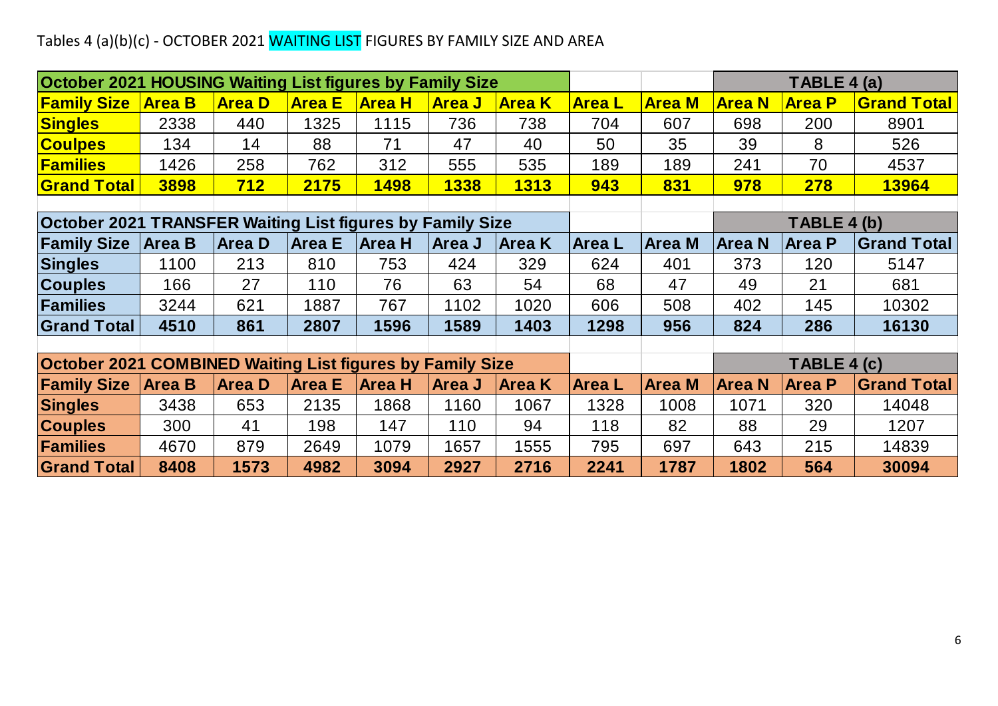### Tables 4 (a)(b)(c) - OCTOBER 2021 WAITING LIST FIGURES BY FAMILY SIZE AND AREA

| Tables 4 (a)(b)(c) - OCTOBER 2021 WAITING LIST FIGURES BY FAMILY SIZE AND AREA |                                                           |               |               |               |               |               |               |               |               |               |                    |
|--------------------------------------------------------------------------------|-----------------------------------------------------------|---------------|---------------|---------------|---------------|---------------|---------------|---------------|---------------|---------------|--------------------|
|                                                                                |                                                           |               |               |               |               |               |               |               |               |               |                    |
| <b>October 2021 HOUSING Waiting List figures by Family Size</b>                |                                                           |               |               |               |               |               |               |               |               | TABLE 4 (a)   |                    |
| <b>Family Size</b>                                                             | <b>Area B</b>                                             | <b>Area D</b> | <b>Area E</b> | <b>Area H</b> | <b>Area J</b> | <b>Area K</b> | <b>Area L</b> | <b>Area M</b> | <b>Area N</b> | <b>Area P</b> | <b>Grand Total</b> |
| <b>Singles</b>                                                                 | 2338                                                      | 440           | 1325          | 1115          | 736           | 738           | 704           | 607           | 698           | 200           | 8901               |
| <b>Coulpes</b>                                                                 | 134                                                       | 14            | 88            | 71            | 47            | 40            | 50            | 35            | 39            | 8             | 526                |
| <b>Families</b>                                                                | 1426                                                      | 258           | 762           | 312           | 555           | 535           | 189           | 189           | 241           | 70            | 4537               |
| <b>Grand Total</b>                                                             | 3898                                                      | <b>712</b>    | 2175          | 1498          | 1338          | <b>1313</b>   | 943           | 831           | 978           | 278           | 13964              |
|                                                                                |                                                           |               |               |               |               |               |               |               |               |               |                    |
|                                                                                | October 2021 TRANSFER Waiting List figures by Family Size |               |               |               |               |               |               |               |               | TABLE 4 (b)   |                    |
| <b>Family Size</b>                                                             | <b>Area B</b>                                             | <b>Area D</b> | <b>Area E</b> | <b>Area H</b> | Area J        | <b>Area K</b> | <b>Area L</b> | <b>Area M</b> | Area N        | <b>Area P</b> | <b>Grand Total</b> |
| <b>Singles</b>                                                                 | 1100                                                      | 213           | 810           | 753           | 424           | 329           | 624           | 401           | 373           | 120           | 5147               |
| <b>Couples</b>                                                                 | 166                                                       | 27            | 110           | 76            | 63            | 54            | 68            | 47            | 49            | 21            | 681                |
| Families                                                                       | 3244                                                      | 621           | 1887          | 767           | 1102          | 1020          | 606           | 508           | 402           | 145           | 10302              |
| <b>Grand Total</b>                                                             | 4510                                                      | 861           | 2807          | 1596          | 1589          | 1403          | 1298          | 956           | 824           | 286           | 16130              |
|                                                                                |                                                           |               |               |               |               |               |               |               |               |               |                    |
| <b>October 2021 COMBINED Waiting List figures by Family Size</b>               |                                                           |               |               |               |               |               |               |               |               | TABLE 4 (c)   |                    |
| <b>Family Size</b>                                                             | <b>Area B</b>                                             | <b>Area D</b> | <b>Area E</b> | <b>Area H</b> | <b>Area J</b> | <b>Area K</b> | <b>AreaL</b>  | <b>Area M</b> | <b>Area N</b> | <b>Area P</b> | <b>Grand Total</b> |
| <b>Singles</b>                                                                 | 3438                                                      | 653           | 2135          | 1868          | 1160          | 1067          | 1328          | 1008          | 1071          | 320           | 14048              |
| <b>Couples</b>                                                                 | 300                                                       | 41            | 198           | 147           | 110           | 94            | 118           | 82            | 88            | 29            | 1207               |
| <b>Families</b>                                                                | 4670                                                      | 879           | 2649          | 1079          | 1657          | 1555          | 795           | 697           | 643           | 215           | 14839              |
| <b>Grand Total</b>                                                             | 8408                                                      | 1573          | 4982          | 3094          | 2927          | 2716          | 2241          | 1787          | 1802          | 564           | 30094              |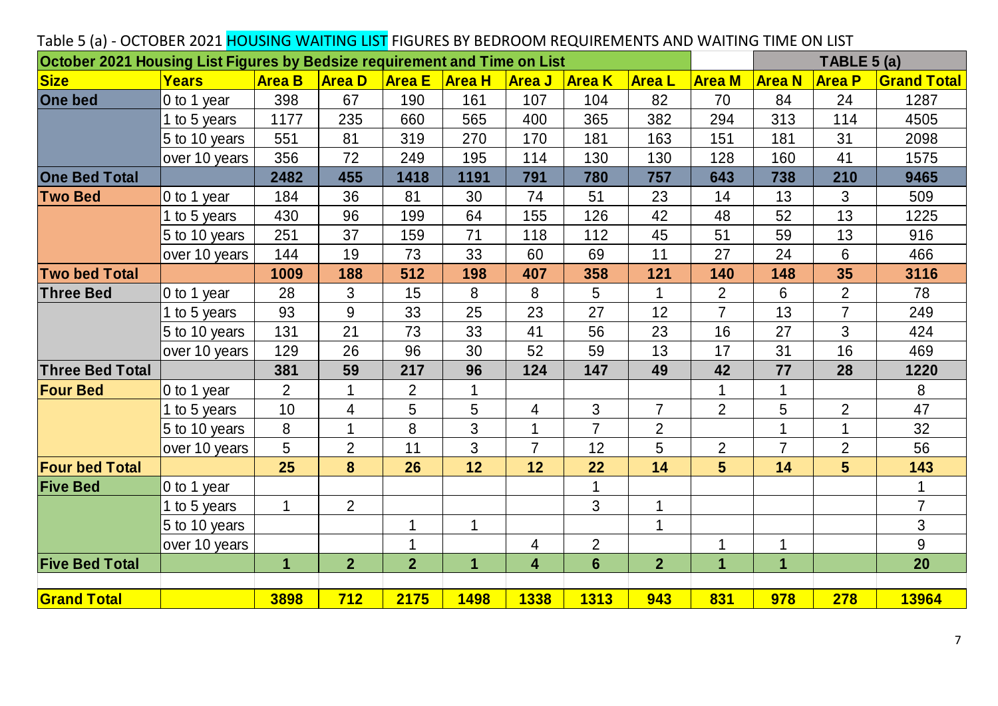| Table 5 (a) - OCTOBER 2021 HOUSING WAITING LIST FIGURES BY BEDROOM REQUIREMENTS AND WAITING TIME ON LIST |               |                |                |                |               |                |                |                |                |                |                              |                    |
|----------------------------------------------------------------------------------------------------------|---------------|----------------|----------------|----------------|---------------|----------------|----------------|----------------|----------------|----------------|------------------------------|--------------------|
| October 2021 Housing List Figures by Bedsize requirement and Time on List<br>Size                        | Years         | <b>Area B</b>  | <b>Area D</b>  | <b>Area E</b>  | <b>Area H</b> | <b>Area J</b>  | <b>Area K</b>  | <b>AreaL</b>   | <b>Area M</b>  | <b>Area N</b>  | TABLE 5 (a)<br><b>Area P</b> | <b>Grand Total</b> |
| <b>One bed</b>                                                                                           | 0 to 1 year   | 398            | 67             | 190            | 161           | 107            | 104            | 82             | 70             | 84             | 24                           | 1287               |
|                                                                                                          | 1 to 5 years  | 1177           | 235            | 660            | 565           | 400            | 365            | 382            | 294            | 313            | 114                          | 4505               |
|                                                                                                          | 5 to 10 years | 551            | 81             | 319            | 270           | 170            | 181            | 163            | 151            | 181            | 31                           | 2098               |
|                                                                                                          | over 10 years | 356            | 72             | 249            | 195           | 114            | 130            | 130            | 128            | 160            | 41                           | 1575               |
| <b>One Bed Total</b>                                                                                     |               | 2482           | 455            | 1418           | 1191          | 791            | 780            | 757            | 643            | 738            | 210                          | 9465               |
| <b>Two Bed</b>                                                                                           | 0 to 1 year   | 184            | 36             | 81             | 30            | 74             | 51             | 23             | 14             | 13             | 3                            | 509                |
|                                                                                                          | to 5 years    | 430            | 96             | 199            | 64            | 155            | 126            | 42             | 48             | 52             | 13                           | 1225               |
|                                                                                                          | 5 to 10 years | 251            | 37             | 159            | 71            | 118            | 112            | 45             | 51             | 59             | 13                           | 916                |
|                                                                                                          | over 10 years | 144            | 19             | 73             | 33            | 60             | 69             | 11             | 27             | 24             | 6                            | 466                |
| <b>Two bed Total</b>                                                                                     |               | 1009           | 188            | 512            | 198           | 407            | 358            | 121            | 140            | 148            | 35                           | 3116               |
| <b>Three Bed</b>                                                                                         | 0 to 1 year   | 28             | 3              | 15             | 8             | 8              | 5              |                | $\overline{2}$ | 6              | $\overline{2}$               | 78                 |
|                                                                                                          | to 5 years    | 93             | 9              | 33             | 25            | 23             | 27             | 12             | $\overline{7}$ | 13             | $\overline{7}$               | 249                |
|                                                                                                          | 5 to 10 years | 131            | 21             | 73             | 33            | 41             | 56             | 23             | 16             | 27             | 3                            | 424                |
|                                                                                                          | over 10 years | 129            | 26             | 96             | 30            | 52             | 59             | 13             | 17             | 31             | 16                           | 469                |
| <b>Three Bed Total</b>                                                                                   |               | 381            | 59             | 217            | 96            | 124            | 147            | 49             | 42             | 77             | 28                           | 1220               |
| <b>Four Bed</b>                                                                                          | 0 to 1 year   | $\overline{2}$ | 1              | $\overline{2}$ | 1             |                |                |                | 1              |                |                              | 8                  |
|                                                                                                          | 1 to 5 years  | 10             | 4              | 5              | 5             | 4              | 3              | $\overline{7}$ | $\overline{2}$ | 5              | $\overline{2}$               | 47                 |
|                                                                                                          | 5 to 10 years | 8              | 1              | 8              | 3             |                | $\overline{7}$ | $\overline{2}$ |                |                |                              | 32                 |
|                                                                                                          | over 10 years | 5              | $\overline{2}$ | 11             | 3             | $\overline{7}$ | 12             | 5              | $\overline{2}$ | $\overline{7}$ | $\overline{2}$               | 56                 |
| <b>Four bed Total</b>                                                                                    |               | 25             | 8              | 26             | 12            | 12             | 22             | 14             | 5 <sup>5</sup> | 14             | 5 <sup>5</sup>               | 143                |
| <b>Five Bed</b>                                                                                          | 0 to 1 year   |                |                |                |               |                |                |                |                |                |                              | 1                  |
|                                                                                                          | 1 to 5 years  | 1              | $\overline{2}$ |                |               |                | 3              |                |                |                |                              | $\overline{7}$     |
|                                                                                                          | 5 to 10 years |                |                | 1              | $\mathbf{1}$  |                |                | 1              |                |                |                              | 3                  |
|                                                                                                          | over 10 years |                |                |                |               | 4              | $\overline{2}$ |                |                | 1              |                              | 9                  |
| <b>Five Bed Total</b>                                                                                    |               | $\mathbf 1$    | $\overline{2}$ | $\overline{2}$ | 1             | 4              | $6\phantom{1}$ | $\overline{2}$ | 1              | $\mathbf 1$    |                              | 20                 |
| <b>Grand Total</b>                                                                                       |               | 3898           | 712            | 2175           | <b>1498</b>   | 1338           | <b>1313</b>    | 943            | 831            | 978            | <b>278</b>                   | <b>13964</b>       |

#### Table 5 (a) - OCTOBER 2021 HOUSING WAITING LIST FIGURES BY BEDROOM REQUIREMENTS AND WAITING TIME ON LIST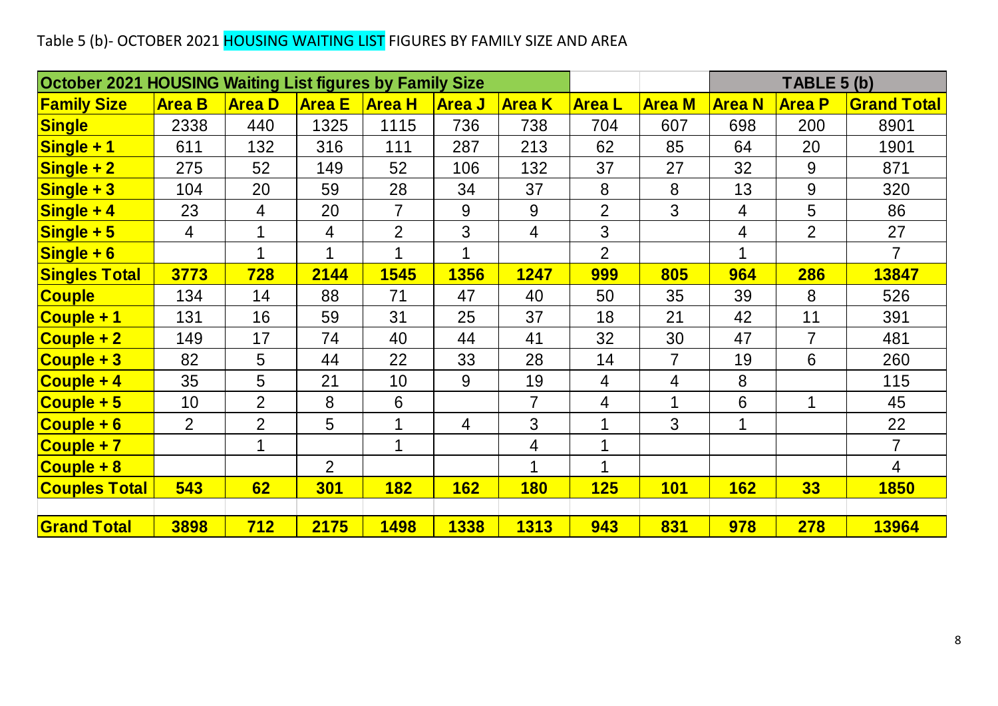### Table 5 (b)- OCTOBER 2021 <mark>HOUSING WAITING LIST</mark> FIGURES BY FAMILY SIZE AND AREA

| Table 5 (b)- OCTOBER 2021 HOUSING WAITING LIST FIGURES BY FAMILY SIZE AND AREA |                |                |                |                         |                |                |                |                |               |                |                    |
|--------------------------------------------------------------------------------|----------------|----------------|----------------|-------------------------|----------------|----------------|----------------|----------------|---------------|----------------|--------------------|
| October 2021 HOUSING Waiting List figures by Family Size                       |                |                |                |                         |                |                |                |                |               | TABLE 5 (b)    |                    |
| <b>Family Size</b>                                                             | <b>Area B</b>  | <b>Area D</b>  | <b>Area E</b>  | <b>Area H</b>           | <b>Area J</b>  | <b>Area K</b>  | <b>AreaL</b>   | <b>Area M</b>  | <b>Area N</b> | <b>Area P</b>  | <b>Grand Total</b> |
| <b>Single</b>                                                                  | 2338           | 440            | 1325           | 1115                    | 736            | 738            | 704            | 607            | 698           | 200            | 8901               |
| Single + 1                                                                     | 611            | 132            | 316            | 111                     | 287            | 213            | 62             | 85             | 64            | 20             | 1901               |
| $Single + 2$                                                                   | 275            | 52             | 149            | 52                      | 106            | 132            | 37             | 27             | 32            | 9              | 871                |
| $Single + 3$                                                                   | 104            | 20             | 59             | 28                      | 34             | 37             | 8              | 8              | 13            | 9              | 320                |
| $Single + 4$                                                                   | 23             | 4              | 20             | $\overline{7}$          | 9              | 9              | $\overline{2}$ | 3              | 4             | 5              | 86                 |
| $Single + 5$                                                                   | 4              | 1              | 4              | $\overline{2}$          | 3              | 4              | $\mathfrak{S}$ |                | 4             | $\overline{2}$ | 27                 |
| $Single + 6$                                                                   |                | 1              | $\mathbf 1$    | $\overline{\mathbf{A}}$ | 1              |                | $\overline{2}$ |                | 1             |                | $\overline{7}$     |
| <b>Singles Total</b>                                                           | 3773           | <b>728</b>     | 2144           | <b>1545</b>             | <b>1356</b>    | 1247           | <b>999</b>     | 805            | <b>964</b>    | <b>286</b>     | 13847              |
| <b>Couple</b>                                                                  | 134            | 14             | 88             | 71                      | 47             | 40             | 50             | 35             | 39            | 8              | 526                |
| Couple + 1                                                                     | 131            | 16             | 59             | 31                      | 25             | 37             | 18             | 21             | 42            | 11             | 391                |
| <b>Couple + 2</b>                                                              | 149            | 17             | 74             | 40                      | 44             | 41             | 32             | 30             | 47            | $\overline{7}$ | 481                |
| $\overline{\textsf{Couple}+3}$                                                 | 82             | 5              | 44             | 22                      | 33             | 28             | 14             | $\overline{7}$ | 19            | 6              | 260                |
| Couple + 4                                                                     | 35             | 5              | 21             | 10                      | 9              | 19             | $\overline{4}$ | 4              | 8             |                | 115                |
| $\overline{\textsf{Couple} + 5}$                                               | 10             | $\overline{2}$ | 8              | 6                       |                | $\overline{7}$ | $\overline{4}$ | 1              | 6             | $\mathbf 1$    | 45                 |
| $\overline{Couple + 6}$                                                        | $\overline{2}$ | $\overline{2}$ | 5              | 1                       | $\overline{4}$ | 3              | 1              | 3              | 1             |                | 22                 |
| Couple + 7                                                                     |                | 1              |                | $\mathbf 1$             |                | 4              | 1              |                |               |                | $\overline{7}$     |
| Couple + 8                                                                     |                |                | $\overline{2}$ |                         |                | 1              | 1              |                |               |                | $\overline{4}$     |
| <b>Couples Total</b>                                                           | 543            | 62             | <b>301</b>     | <b>182</b>              | <b>162</b>     | <b>180</b>     | 125            | <b>101</b>     | <b>162</b>    | 33             | <b>1850</b>        |
|                                                                                |                |                |                |                         |                |                |                |                |               |                |                    |
| <b>Grand Total</b>                                                             | 3898           | 712            | 2175           | <b>1498</b>             | <b>1338</b>    | <b>1313</b>    | 943            | 831            | 978           | <b>278</b>     | <b>13964</b>       |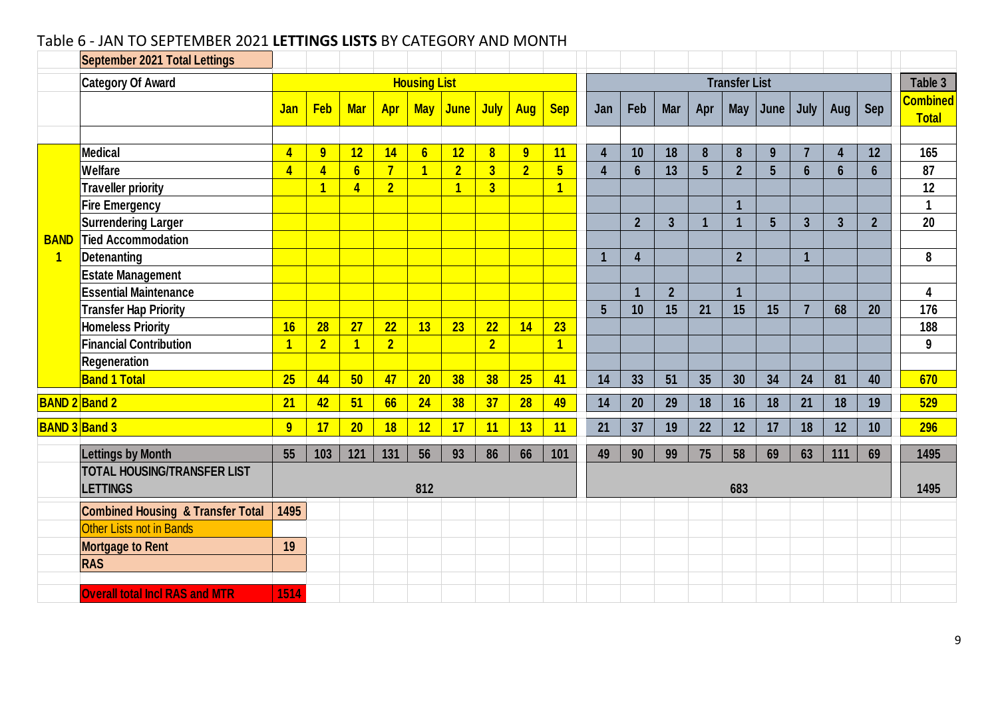#### Table 6 - JAN TO SEPTEMBER 2021 **LETTINGS LISTS** BY CATEGORY AND MONTH

|                | <b>September 2021 Total Lettings</b>                  |                         |                |                 |                |                     |                |                         |                |                         |                         |                         |                  |                |                      |                |                |                |                |                                 |
|----------------|-------------------------------------------------------|-------------------------|----------------|-----------------|----------------|---------------------|----------------|-------------------------|----------------|-------------------------|-------------------------|-------------------------|------------------|----------------|----------------------|----------------|----------------|----------------|----------------|---------------------------------|
|                | <b>Category Of Award</b>                              |                         |                |                 |                | <b>Housing List</b> |                |                         |                |                         |                         |                         |                  |                | <b>Transfer List</b> |                |                |                |                | Table 3                         |
|                |                                                       | Jan                     | <b>Feb</b>     | <b>Mar</b>      | Apr            | <b>May</b>          | <b>June</b>    | July                    | <b>Aug</b>     | <b>Sep</b>              | Jan                     | Feb                     | <b>Mar</b>       | Apr            | <b>May</b>           | June           | July           | Aug            | <b>Sep</b>     | <b>Combined</b><br><b>Total</b> |
|                | <b>Medical</b>                                        | $\overline{4}$          | 9              | 12              | 14             | $6\overline{6}$     | 12             | $\overline{\mathbf{8}}$ | 9              | 11                      | 4                       | 10                      | 18               | 8              | 8                    | 9              | $\overline{7}$ | $\overline{4}$ | 12             | 165                             |
|                | Welfare                                               | $\overline{4}$          | $\overline{4}$ | 6 <sup>1</sup>  | $\overline{7}$ | $\overline{1}$      | $\overline{2}$ | 3 <sup>1</sup>          | $\overline{2}$ | $5\overline{)}$         | $\overline{\mathbf{4}}$ | $6\phantom{a}$          | 13               | $5\phantom{1}$ | $\overline{2}$       | 5              | $6\phantom{a}$ | $6\phantom{a}$ | $6\phantom{a}$ | 87                              |
|                | <b>Traveller priority</b>                             |                         | $\overline{1}$ | $\overline{4}$  | $\overline{2}$ |                     | $\overline{1}$ | $\overline{3}$          |                | $\overline{\mathbf{1}}$ |                         |                         |                  |                |                      |                |                |                |                | 12                              |
|                | <b>Fire Emergency</b>                                 |                         |                |                 |                |                     |                |                         |                |                         |                         |                         |                  |                | $\overline{1}$       |                |                |                |                | $\mathbf{1}$                    |
|                | <b>Surrendering Larger</b>                            |                         |                |                 |                |                     |                |                         |                |                         |                         | $\overline{2}$          | $\overline{3}$   | $\mathbf{1}$   |                      | $5\phantom{.}$ | $\overline{3}$ | $\overline{3}$ | $\overline{2}$ | 20                              |
| <b>BAND</b>    | <b>Tied Accommodation</b>                             |                         |                |                 |                |                     |                |                         |                |                         |                         |                         |                  |                |                      |                |                |                |                |                                 |
| $\overline{1}$ | <b>Detenanting</b>                                    |                         |                |                 |                |                     |                |                         |                |                         |                         | 4                       |                  |                | $\overline{2}$       |                |                |                |                | 8                               |
|                | <b>Estate Management</b>                              |                         |                |                 |                |                     |                |                         |                |                         |                         |                         |                  |                |                      |                |                |                |                |                                 |
|                | <b>Essential Maintenance</b>                          |                         |                |                 |                |                     |                |                         |                |                         |                         | $\overline{\mathbf{1}}$ | $\boldsymbol{2}$ |                | $\overline{1}$       |                |                |                |                | 4                               |
|                | <b>Transfer Hap Priority</b>                          |                         |                |                 |                |                     |                |                         |                |                         | 5 <sup>5</sup>          | 10                      | 15               | 21             | 15                   | 15             | $\overline{7}$ | 68             | 20             | 176                             |
|                | <b>Homeless Priority</b>                              | 16                      | 28             | 27              | 22             | 13                  | 23             | 22                      | 14             | 23                      |                         |                         |                  |                |                      |                |                |                |                | 188                             |
|                | <b>Financial Contribution</b>                         | $\overline{\mathbf{1}}$ | $\overline{2}$ | $\overline{1}$  | $\overline{2}$ |                     |                | $\overline{2}$          |                | $\overline{1}$          |                         |                         |                  |                |                      |                |                |                |                | 9                               |
|                | Regeneration                                          |                         |                |                 |                |                     |                |                         |                |                         |                         |                         |                  |                |                      |                |                |                |                |                                 |
|                | <b>Band 1 Total</b>                                   | 25                      | 44             | 50              | 47             | 20                  | 38             | 38                      | 25             | 41                      | 14                      | 33                      | 51               | 35             | 30                   | 34             | 24             | 81             | 40             | 670                             |
|                |                                                       |                         |                |                 |                |                     |                |                         |                |                         |                         |                         |                  |                |                      |                |                |                |                |                                 |
|                | <b>BAND 2 Band 2</b>                                  | 21                      | 42             | 51              | 66             | 24                  | 38             | 37                      | 28             | 49                      | 14                      | 20                      | 29               | 18             | 16                   | 18             | 21             | 18             | 19             | 529                             |
|                | <b>BAND 3 Band 3</b>                                  | 9                       | 17             | 20 <sub>2</sub> | 18             | 12                  | 17             | 11                      | 13             | 11                      | 21                      | 37                      | 19               | 22             | 12                   | 17             | 18             | 12             | 10             | 296                             |
|                | <b>Lettings by Month</b>                              | 55                      | 103            | 121             | 131            | 56                  | 93             | 86                      | 66             | 101                     | 49                      | 90                      | 99               | 75             | 58                   | 69             | 63             | 111            | 69             | 1495                            |
|                | <b>TOTAL HOUSING/TRANSFER LIST</b><br><b>LETTINGS</b> |                         |                |                 |                | 812                 |                |                         |                |                         |                         |                         |                  |                | 683                  |                |                |                |                | 1495                            |
|                | <b>Combined Housing &amp; Transfer Total</b>          | 1495                    |                |                 |                |                     |                |                         |                |                         |                         |                         |                  |                |                      |                |                |                |                |                                 |
|                | Other Lists not in Bands                              |                         |                |                 |                |                     |                |                         |                |                         |                         |                         |                  |                |                      |                |                |                |                |                                 |
|                | <b>Mortgage to Rent</b>                               | 19                      |                |                 |                |                     |                |                         |                |                         |                         |                         |                  |                |                      |                |                |                |                |                                 |
|                | <b>RAS</b>                                            |                         |                |                 |                |                     |                |                         |                |                         |                         |                         |                  |                |                      |                |                |                |                |                                 |
|                |                                                       |                         |                |                 |                |                     |                |                         |                |                         |                         |                         |                  |                |                      |                |                |                |                |                                 |
|                | <b>Overall total Incl RAS and MTR</b>                 | 1514                    |                |                 |                |                     |                |                         |                |                         |                         |                         |                  |                |                      |                |                |                |                |                                 |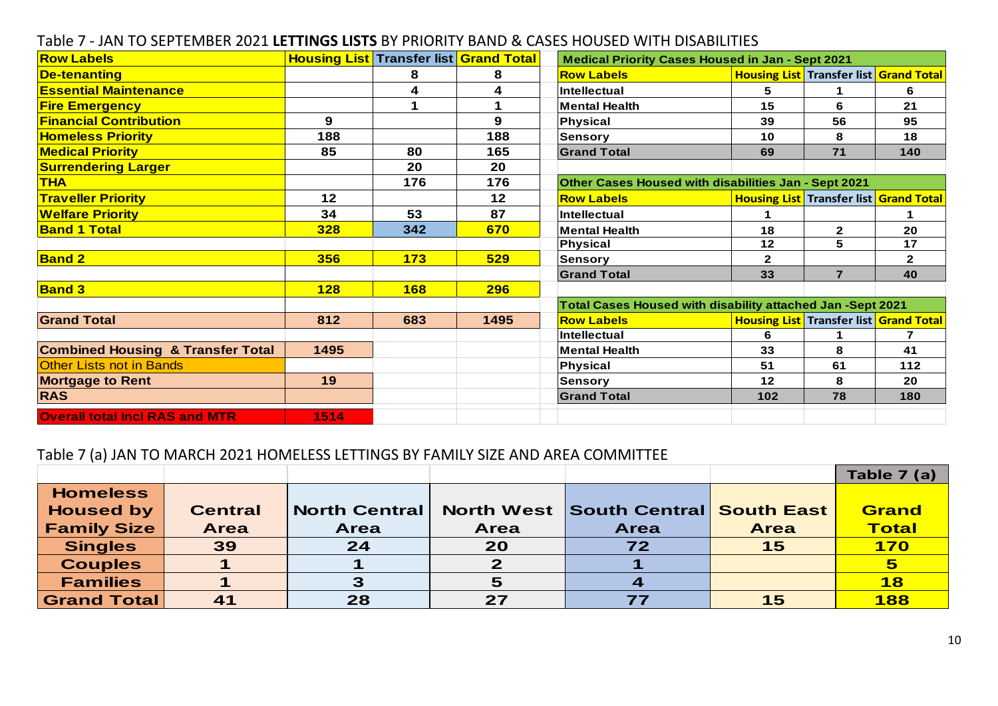| Table 7 - JAN TO SEPTEMBER 2021 LETTINGS LISTS BY PRIORITY BAND & CASES HOUSED WITH DISABILITIES |                                               |            |      |                                                            |              |                                               |                |
|--------------------------------------------------------------------------------------------------|-----------------------------------------------|------------|------|------------------------------------------------------------|--------------|-----------------------------------------------|----------------|
| <b>Row Labels</b>                                                                                | <b>Housing List Transfer list Grand Total</b> |            |      | <b>Medical Priority Cases Housed in Jan - Sept 2021</b>    |              |                                               |                |
| <b>De-tenanting</b>                                                                              |                                               | 8          | 8    | <b>Row Labels</b>                                          |              | <b>Housing List Transfer list Grand Total</b> |                |
| <b>Essential Maintenance</b>                                                                     |                                               | 4          | 4    | Intellectual                                               | 5            | 1                                             | 6              |
| <b>Fire Emergency</b>                                                                            |                                               |            | 1    | <b>Mental Health</b>                                       | 15           | 6                                             | 21             |
| <b>Financial Contribution</b>                                                                    | 9                                             |            | 9    | <b>Physical</b>                                            | 39           | 56                                            | 95             |
| <b>Homeless Priority</b>                                                                         | 188                                           |            | 188  | Sensory                                                    | 10           | 8                                             | 18             |
| <b>Medical Priority</b>                                                                          | 85                                            | 80         | 165  | <b>Grand Total</b>                                         | 69           | $71$                                          | 140            |
| <b>Surrendering Larger</b>                                                                       |                                               | 20         | 20   |                                                            |              |                                               |                |
| <b>THA</b>                                                                                       |                                               | 176        | 176  | Other Cases Housed with disabilities Jan - Sept 2021       |              |                                               |                |
| <b>Traveller Priority</b>                                                                        | 12                                            |            | 12   | <b>Row Labels</b>                                          |              | <b>Housing List Transfer list Grand Total</b> |                |
| <b>Welfare Priority</b>                                                                          | 34                                            | 53         | 87   | Intellectual                                               | 1            |                                               | 1              |
| <b>Band 1 Total</b>                                                                              | 328                                           | 342        | 670  | <b>Mental Health</b>                                       | 18           | $\mathbf{2}$                                  | 20             |
|                                                                                                  |                                               |            |      | Physical                                                   | 12           | 5                                             | 17             |
| <b>Band 2</b>                                                                                    | 356                                           | 173        | 529  | <b>Sensory</b>                                             | $\mathbf{2}$ |                                               | $\overline{2}$ |
|                                                                                                  |                                               |            |      | <b>Grand Total</b>                                         | 33           | $\overline{7}$                                | 40             |
| <b>Band 3</b>                                                                                    | <b>128</b>                                    | <b>168</b> | 296  |                                                            |              |                                               |                |
|                                                                                                  |                                               |            |      | Total Cases Housed with disability attached Jan -Sept 2021 |              |                                               |                |
| <b>Grand Total</b>                                                                               | 812                                           | 683        | 1495 | <b>Row Labels</b>                                          |              | <b>Housing List Transfer list Grand Total</b> |                |
|                                                                                                  |                                               |            |      | Intellectual                                               | 6            |                                               |                |
| <b>Combined Housing &amp; Transfer Total</b>                                                     | 1495                                          |            |      | <b>Mental Health</b>                                       | 33           | 8                                             | 41             |
| <b>Other Lists not in Bands</b>                                                                  |                                               |            |      | <b>Physical</b>                                            | 51           | 61                                            | 112            |
| <b>Mortgage to Rent</b>                                                                          | 19                                            |            |      | <b>Sensory</b>                                             | 12           | 8                                             | 20             |
| <b>RAS</b>                                                                                       |                                               |            |      | <b>Grand Total</b>                                         | 102          | 78                                            | 180            |
| <b>Overall total Incl RAS and MTR</b>                                                            | 1514                                          |            |      |                                                            |              |                                               |                |

#### Table 7 - JAN TO SEPTEMBER 2021 **LETTINGS LISTS** BY PRIORITY BAND & CASES HOUSED WITH DISABILITIES

#### Table 7 (a) JAN TO MARCH 2021 HOMELESS LETTINGS BY FAMILY SIZE AND AREA COMMITTEE

|                    |                |                      |             |                                     |             | Table 7 (a)             |
|--------------------|----------------|----------------------|-------------|-------------------------------------|-------------|-------------------------|
| <b>Homeless</b>    |                |                      |             |                                     |             |                         |
| <b>Housed by</b>   | <b>Central</b> | <b>North Central</b> |             | North West South Central South East |             | Grand                   |
| <b>Family Size</b> | <b>Area</b>    | <b>Area</b>          | <b>Area</b> | <b>Area</b>                         | <b>Area</b> | <b>Total</b>            |
| <b>Singles</b>     | 39             | 24                   | 20          | 72                                  | 15          | <b>170</b>              |
| <b>Couples</b>     |                |                      |             |                                     |             | $\overline{\mathbf{5}}$ |
| <b>Families</b>    |                | З                    | 5           |                                     |             | 18                      |
| <b>Grand Total</b> | 41             | 28                   | 27          |                                     | 15          | <b>188</b>              |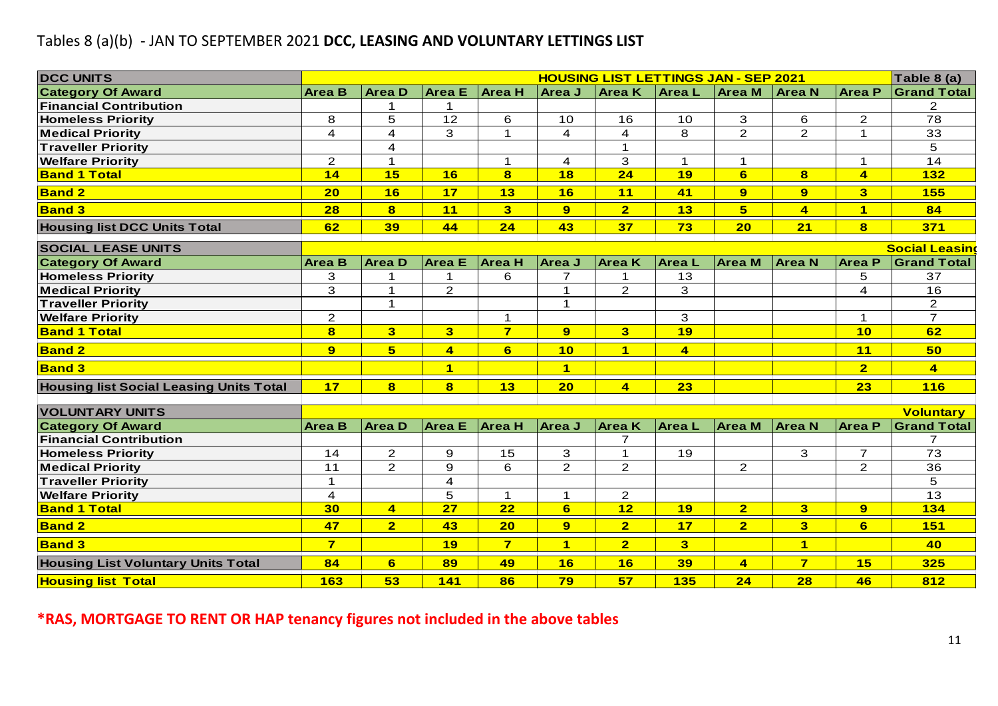#### Tables 8 (a)(b) - JAN TO SEPTEMBER 2021 **DCC, LEASING AND VOLUNTARY LETTINGS LIST**

| <b>DCC UNITS</b>                               |                         |                         |                         |                         |                |                         | <b>HOUSING LIST LETTINGS JAN - SEP 2021</b> |                         |                      |                         | Table 8 (a)             |
|------------------------------------------------|-------------------------|-------------------------|-------------------------|-------------------------|----------------|-------------------------|---------------------------------------------|-------------------------|----------------------|-------------------------|-------------------------|
| <b>Category Of Award</b>                       | <b>Area B</b>           | <b>Area D</b>           | <b>Area</b> E           | <b>Area H</b>           | Area J         | <b>Area K</b>           | <b>AreaL</b>                                | Area M                  | <b>Area N</b>        | <b>Area P</b>           | <b>Grand Total</b>      |
| <b>Financial Contribution</b>                  |                         | 1                       |                         |                         |                |                         |                                             |                         |                      |                         | 2                       |
| <b>Homeless Priority</b>                       | 8                       | 5                       | 12                      | 6                       | 10             | 16                      | 10                                          | 3                       | 6                    | $\overline{2}$          | 78                      |
| <b>Medical Priority</b>                        | 4                       | 4                       | 3                       | $\mathbf{1}$            | 4              | 4                       | 8                                           | $\overline{2}$          | $\overline{2}$       | 1                       | 33                      |
| <b>Traveller Priority</b>                      |                         | 4                       |                         |                         |                | $\mathbf{1}$            |                                             |                         |                      |                         | 5                       |
| <b>Welfare Priority</b>                        | $\overline{2}$          | $\mathbf 1$             |                         | $\mathbf 1$             | 4              | 3                       | $\mathbf{1}$                                | 1                       |                      | 1                       | 14                      |
| <b>Band 1 Total</b>                            | 14                      | 15                      | 16                      | $\bf{8}$                | 18             | 24                      | 19                                          | $6 \overline{6}$        | $\bf{8}$             | $\overline{\mathbf{4}}$ | 132                     |
| <b>Band 2</b>                                  | 20                      | 16                      | 17                      | 13                      | 16             | 11                      | 41                                          | 9                       | 9                    | $\overline{\mathbf{3}}$ | <b>155</b>              |
| <b>Band 3</b>                                  | 28                      | $\bf{8}$                | 11                      | 3                       | 9              | $\overline{2}$          | 13                                          | 5                       | $\overline{4}$       | 1                       | 84                      |
| <b>Housing list DCC Units Total</b>            | 62                      | 39                      | 44                      | 24                      | 43             | 37                      | 73                                          | 20                      | 21                   | $\overline{\mathbf{8}}$ | 371                     |
| <b>SOCIAL LEASE UNITS</b>                      |                         |                         |                         |                         |                |                         |                                             |                         |                      |                         | <b>Social Leasing</b>   |
| <b>Category Of Award</b>                       | <b>Area B</b>           | <b>Area D</b>           | <b>Area</b> E           | <b>Area H</b>           | Area J         | <b>Area K</b>           | Area L                                      | <b>Area</b> M           | <b>Area N</b>        | <b>Area P</b>           | <b>Grand Total</b>      |
| <b>Homeless Priority</b>                       | 3                       | 1                       |                         | 6                       | 7              | 1                       | 13                                          |                         |                      | 5                       | 37                      |
| <b>Medical Priority</b>                        | 3                       | $\mathbf{1}$            | $\overline{2}$          |                         | $\mathbf 1$    | $\overline{2}$          | 3                                           |                         |                      | 4                       | 16                      |
| <b>Traveller Priority</b>                      |                         | $\mathbf{1}$            |                         |                         | $\mathbf{1}$   |                         |                                             |                         |                      |                         | $\overline{2}$          |
| <b>Welfare Priority</b>                        | $\overline{2}$          |                         |                         | $\mathbf{1}$            |                |                         | 3                                           |                         |                      | $\mathbf 1$             | $\overline{7}$          |
| <b>Band 1 Total</b>                            | 8                       | $\overline{\mathbf{3}}$ | $\overline{\mathbf{3}}$ | $\overline{\mathbf{z}}$ | 9              | $\overline{\mathbf{3}}$ | 19                                          |                         |                      | 10                      | 62                      |
| <b>Band 2</b>                                  | 9                       | 5 <sup>5</sup>          | $\overline{\mathbf{4}}$ | 6                       | 10             | $\mathbf{1}$            | $\overline{\mathbf{4}}$                     |                         |                      | 11                      | 50                      |
| <b>Band 3</b>                                  |                         |                         | $\blacktriangleleft$    |                         | $\blacksquare$ |                         |                                             |                         |                      | $\overline{2}$          | $\overline{\mathbf{4}}$ |
| <b>Housing list Social Leasing Units Total</b> | 17                      | $\overline{\mathbf{8}}$ | $\bf{8}$                | 13                      | 20             | $\overline{4}$          | 23                                          |                         |                      | 23                      | <b>116</b>              |
| <b>VOLUNTARY UNITS</b>                         |                         |                         |                         |                         |                |                         |                                             |                         |                      |                         | <b>Voluntary</b>        |
| <b>Category Of Award</b>                       | <b>Area B</b>           | <b>AreaD</b>            | <b>Area</b> E           | <b>Area H</b>           | <b>Area J</b>  | <b>Area</b> K           | <b>AreaL</b>                                | <b>Area M</b>           | <b>Area N</b>        | <b>Area P</b>           | <b>Grand Total</b>      |
| <b>Financial Contribution</b>                  |                         |                         |                         |                         |                | $\overline{7}$          |                                             |                         |                      |                         | 7                       |
| <b>Homeless Priority</b>                       | 14                      | $\overline{2}$          | 9                       | 15                      | 3              | $\mathbf{1}$            | 19                                          |                         | 3                    | $\overline{7}$          | 73                      |
| <b>Medical Priority</b>                        | 11                      | $\overline{2}$          | $\mathbf 9$             | 6                       | $\overline{2}$ | $\mathbf{2}$            |                                             | $\overline{2}$          |                      | $\overline{2}$          | 36                      |
| <b>Traveller Priority</b>                      | $\mathbf 1$             |                         | 4                       |                         |                |                         |                                             |                         |                      |                         | 5                       |
| <b>Welfare Priority</b>                        | 4                       |                         | 5                       | 1                       | 1              | $\overline{a}$          |                                             |                         |                      |                         | 13                      |
| <b>Band 1 Total</b>                            | 30                      | $\overline{4}$          | <b>27</b>               | <u>22</u>               | 6.             | <u>12</u>               | <u> 19 </u>                                 | <u>2</u>                | 3                    | 9                       | <u> 134</u>             |
| <b>Band 2</b>                                  | 47                      | 2 <sup>1</sup>          | 43                      | 20                      | 9 <sup>°</sup> | $\overline{2}$          | 17                                          | $\overline{2}$          | 3 <sup>1</sup>       | 6                       | <b>151</b>              |
| <b>Band 3</b>                                  | $\overline{\mathbf{7}}$ |                         | 19                      | $\overline{7}$          | $\mathbf{1}$   | $\overline{2}$          | 3 <sup>5</sup>                              |                         | $\blacktriangleleft$ |                         | 40                      |
| <b>Housing List Voluntary Units Total</b>      | 84                      | 6                       | 89                      | 49                      | 16             | 16                      | 39                                          | $\overline{\mathbf{4}}$ | $\overline{7}$       | 15                      | 325                     |
| <b>Housing list Total</b>                      | <b>163</b>              | 53                      | 141                     | 86                      | 79             | 57                      | <b>135</b>                                  | 24                      | 28                   | 46                      | 812                     |

**\*RAS, MORTGAGE TO RENT OR HAP tenancy figures not included in the above tables**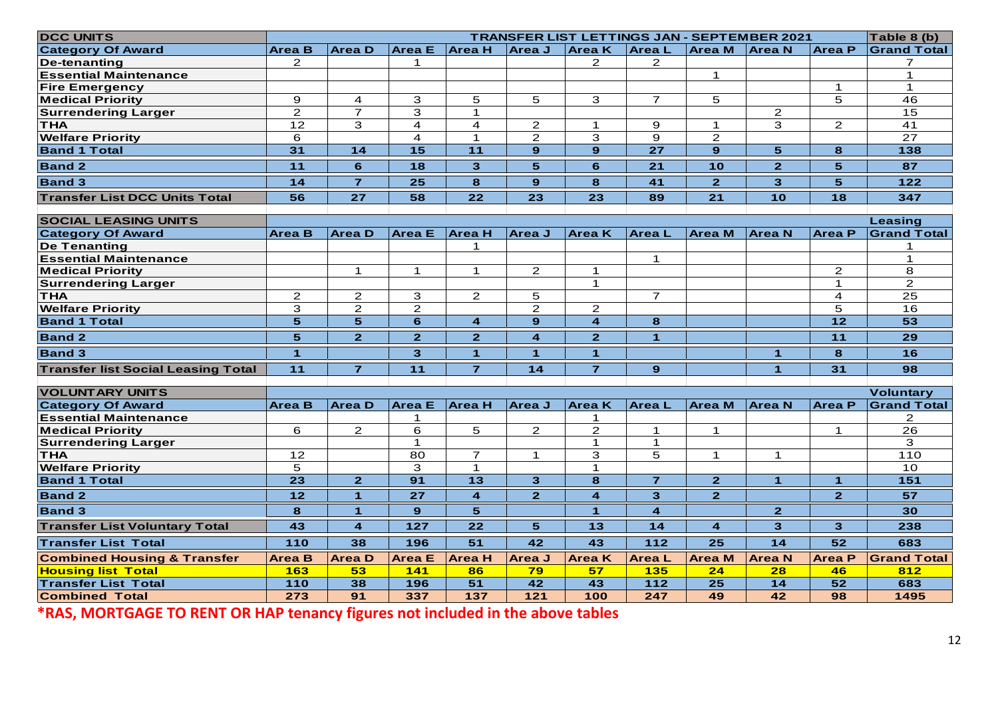| <b>DCC UNITS</b>                                    |                   |                         |                     |                         |                      |                                           |                |                         | <b>TRANSFER LIST LETTINGS JAN - SEPTEMBER 2021</b> |                | Table 8 (b)        |
|-----------------------------------------------------|-------------------|-------------------------|---------------------|-------------------------|----------------------|-------------------------------------------|----------------|-------------------------|----------------------------------------------------|----------------|--------------------|
| <b>Category Of Award</b>                            | Area B            | <b>Area</b> D           | Area E Area H       |                         | <b>Area J</b>        | <b>Area K</b>                             | <b>AreaL</b>   | <b>Area</b> M           | <b>Area N</b>                                      | <b>Area P</b>  | <b>Grand Total</b> |
| De-tenanting                                        | $\overline{2}$    |                         | 1                   |                         |                      | $\mathbf{2}$                              | $\overline{2}$ |                         |                                                    |                | $\overline{7}$     |
| <b>Essential Maintenance</b>                        |                   |                         |                     |                         |                      |                                           |                | $\mathbf 1$             |                                                    |                | $\mathbf{1}$       |
| <b>Fire Emergency</b>                               |                   |                         |                     |                         |                      |                                           |                |                         |                                                    | $\mathbf 1$    | $\mathbf 1$        |
| <b>Medical Priority</b>                             | 9                 | $\overline{4}$          | 3                   | 5                       | 5                    | 3                                         | $\overline{7}$ | 5                       |                                                    | 5              | 46                 |
| <b>Surrendering Larger</b>                          | 2                 | $\overline{7}$          | 3                   | $\mathbf{1}$            |                      |                                           |                |                         | $\overline{2}$                                     |                | 15                 |
| <b>THA</b><br><b>Welfare Priority</b>               | 12                | 3                       | 4<br>4              | 4<br>1                  | $\overline{2}$       | $\mathbf 1$                               | 9<br>9         | $\mathbf 1$             | 3                                                  | $\overline{2}$ | 41<br>27           |
| <b>Band 1 Total</b>                                 | 6<br>31           | 14                      | 15                  | 11                      | $\mathbf{2}$<br>9    | 3<br>$9^{\circ}$                          | 27             | $\mathbf{2}$<br>9       | 5                                                  | 8              | 138                |
|                                                     |                   |                         |                     |                         |                      |                                           |                |                         |                                                    |                |                    |
| <b>Band 2</b>                                       | 11                | 6                       | 18                  | 3                       | 5                    | 6                                         | 21             | 10                      | $\overline{2}$                                     | 5              | 87                 |
| <b>Band 3</b>                                       | 14                | $\overline{7}$          | 25                  | 8                       | $9^{\circ}$          | 8                                         | 41             | $\overline{2}$          | 3                                                  | 5              | 122                |
| <b>Transfer List DCC Units Total</b>                | 56                | 27                      | 58                  | 22                      | 23                   | 23                                        | 89             | 21                      | 10                                                 | 18             | 347                |
| <b>SOCIAL LEASING UNITS</b>                         |                   |                         |                     |                         |                      |                                           |                |                         |                                                    |                | Leasing            |
| <b>Category Of Award</b>                            | <b>Area B</b>     | lArea D                 | <b>Area</b> E       | Area H                  | <b>Area J</b>        | <b>Area K</b>                             | Area L         | <b>Area M</b>           | <b>Area N</b>                                      | Area P         | <b>Grand Total</b> |
| <b>De Tenanting</b>                                 |                   |                         |                     | 1                       |                      |                                           |                |                         |                                                    |                |                    |
| <b>Essential Maintenance</b>                        |                   |                         |                     |                         |                      |                                           | $\mathbf 1$    |                         |                                                    |                | 1                  |
| <b>Medical Priority</b>                             |                   | $\mathbf 1$             | 1                   | $\mathbf{1}$            | $\overline{2}$       | 1                                         |                |                         |                                                    | 2              | 8                  |
| <b>Surrendering Larger</b>                          |                   |                         |                     |                         |                      | $\blacktriangleleft$                      |                |                         |                                                    | $\mathbf{1}$   | $\mathbf{2}$       |
| <b>THA</b>                                          | $\overline{2}$    | $\overline{2}$          | 3                   | $\overline{2}$          | 5                    |                                           | $\overline{7}$ |                         |                                                    | 4              | 25                 |
| <b>Welfare Priority</b><br><b>Band 1 Total</b>      | 3<br>5            | $\mathbf{2}$<br>5       | $\overline{2}$<br>6 | $\overline{\mathbf{4}}$ | $\overline{2}$<br>9  | $\overline{2}$<br>$\overline{\mathbf{A}}$ | 8              |                         |                                                    | 5<br>12        | 16<br>53           |
|                                                     |                   |                         |                     |                         |                      |                                           |                |                         |                                                    |                |                    |
| <b>Band 2</b>                                       | 5                 | $\overline{2}$          | $\overline{2}$      | $\overline{2}$          | $\overline{4}$       | $\overline{2}$                            | 1              |                         |                                                    | 11             | 29                 |
| <b>Band 3</b>                                       | $\mathbf{1}$      |                         | 3                   | $\blacktriangleleft$    | $\blacktriangleleft$ | $\blacktriangleleft$                      |                |                         | $\mathbf{1}$                                       | 8              | 16                 |
| <b>Transfer list Social Leasing Total</b>           | 11                | $\overline{7}$          | 11                  | $\overline{7}$          | 14                   | $\overline{7}$                            | 9              |                         | $\blacktriangleleft$                               | 31             | 98                 |
| <b>VOLUNTARY UNITS</b>                              |                   |                         |                     |                         |                      |                                           |                |                         |                                                    |                | <b>Voluntary</b>   |
| <b>Category Of Award</b>                            | <b>Area B</b>     | <b>AreaD</b>            | <b>Area</b> E       | <b>Area H</b>           | Area J               | <b>Area</b> K                             | <b>AreaL</b>   | <b>Area</b> M           | <b>Area N</b>                                      | <b>Area P</b>  | <b>Grand Total</b> |
| <b>Essential Maintenance</b>                        |                   |                         | 1                   |                         |                      | 1                                         |                |                         |                                                    |                | 2                  |
| <b>Medical Priority</b>                             | 6                 | $\overline{2}$          | 6                   | 5                       | $\overline{2}$       | $\mathbf{2}$                              | $\mathbf{1}$   | 1                       |                                                    | $\mathbf 1$    | 26                 |
| <b>Surrendering Larger</b>                          |                   |                         | $\mathbf{1}$        |                         |                      | $\mathbf{1}$                              | $\mathbf{1}$   |                         |                                                    |                | 3                  |
| <b>THA</b>                                          | $12 \overline{ }$ |                         | 80                  | $\overline{7}$          | $\mathbf{1}$         | 3                                         | 5              | $\mathbf{1}$            | $\mathbf{1}$                                       |                | 110                |
| <b>Welfare Priority</b><br><b>Band 1 Total</b>      | 5<br>23           | $\overline{2}$          | 3<br>91             | $\mathbf{1}$<br>13      | 3                    | $\mathbf{1}$<br>8                         | $\overline{7}$ | $\overline{2}$          | $\mathbf{1}$                                       | $\mathbf{1}$   | 10<br>151          |
|                                                     |                   |                         |                     |                         |                      |                                           |                |                         |                                                    |                |                    |
| <b>Band 2</b>                                       | $12$              | $\blacktriangleleft$    | 27                  | $\overline{\mathbf{4}}$ | $\overline{2}$       | 4                                         | 3              | $\mathbf{2}$            |                                                    | $\mathbf{2}$   | 57                 |
| <b>Band 3</b>                                       | 8                 | $\mathbf{1}$            | 9 <sup>°</sup>      | 5                       |                      | 1                                         | 4              |                         | $\overline{2}$                                     |                | 30                 |
|                                                     | 43                | $\overline{\mathbf{4}}$ | 127                 | 22                      | 5 <sup>5</sup>       | $13$                                      | $14$           | $\overline{\mathbf{4}}$ | $\overline{\mathbf{3}}$                            | 3              | 238                |
| <b>Transfer List Voluntary Total</b>                |                   |                         | 196                 | 51                      | 42                   | 43                                        | 112            | 25                      | $14$                                               | 52             | 683                |
| <b>Transfer List Total</b>                          | 110               | 38                      |                     |                         |                      |                                           |                |                         |                                                    |                |                    |
| <b>Combined Housing &amp; Transfer</b>              | <b>Area B</b>     | <b>Area</b> D           | <b>Area</b> E       | <b>Area H</b>           | Area J               | <b>Area</b> K                             | <b>Area</b> L  | <b>Area</b> M           | <b>Area N</b>                                      | <b>Area P</b>  | <b>Grand Total</b> |
| <b>Housing list Total</b>                           | 163               | 53                      | 141                 | 86                      | 79                   | 57                                        | <b>135</b>     | 24                      | 28                                                 | 46             | 812                |
| <b>Transfer List Total</b><br><b>Combined Total</b> | 110<br>273        | 38<br>91                | 196<br>337          | 51<br>137               | 42<br>121            | 43<br>100                                 | 112<br>247     | 25<br>49                | $14$<br>42                                         | 52<br>98       | 683<br>1495        |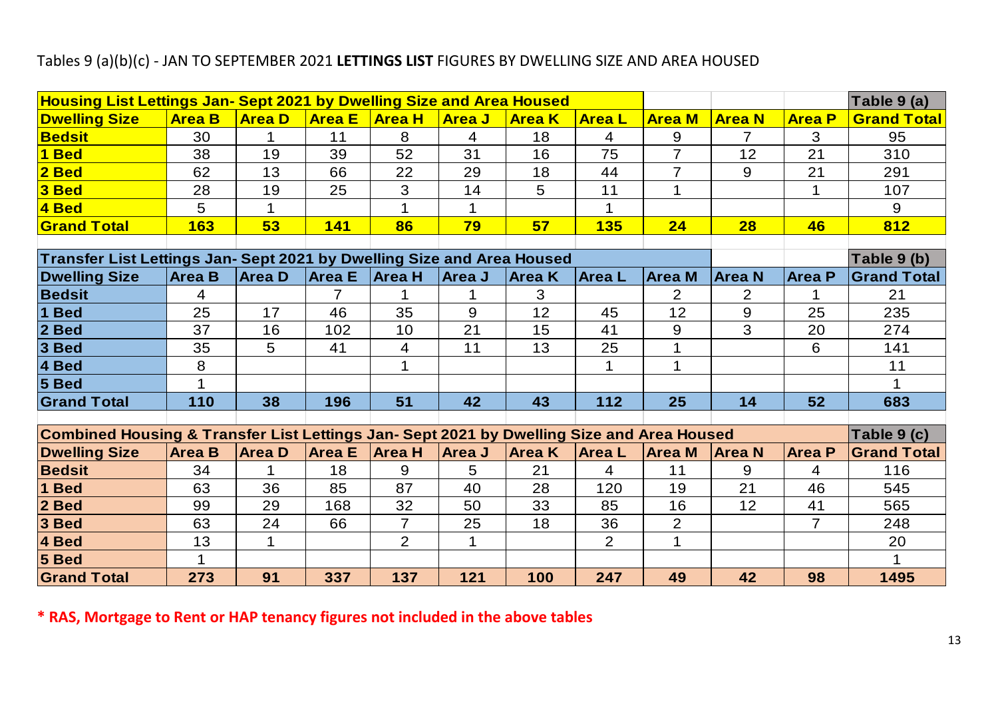### Tables 9 (a)(b)(c) - JAN TO SEPTEMBER 2021 **LETTINGS LIST** FIGURES BY DWELLING SIZE AND AREA HOUSED

|                                                                                                          | Housing List Lettings Jan- Sept 2021 by Dwelling Size and Area Housed  |               |                |                |                |               |                |                |                |                | Table 9 (a)        |
|----------------------------------------------------------------------------------------------------------|------------------------------------------------------------------------|---------------|----------------|----------------|----------------|---------------|----------------|----------------|----------------|----------------|--------------------|
| <b>Dwelling Size</b>                                                                                     | <b>Area B</b>                                                          | <b>Area D</b> | <b>Area E</b>  | <b>Area H</b>  | <b>Area J</b>  | <b>Area K</b> | <b>Area L</b>  | <b>Area M</b>  | <b>Area N</b>  | <b>Area P</b>  | <b>Grand Total</b> |
| <b>Bedsit</b>                                                                                            | 30                                                                     | $\mathbf{1}$  | 11             | 8              | $\overline{4}$ | 18            | $\overline{4}$ | 9              | $\overline{7}$ | 3              | 95                 |
| 1 Bed                                                                                                    | 38                                                                     | 19            | 39             | 52             | 31             | 16            | 75             | $\overline{7}$ | 12             | 21             | 310                |
| $2$ Bed                                                                                                  | 62                                                                     | 13            | 66             | 22             | 29             | 18            | 44             | $\overline{7}$ | 9              | 21             | 291                |
| $3$ Bed                                                                                                  | 28                                                                     | 19            | 25             | 3              | 14             | 5             | 11             | 1              |                | 1              | 107                |
| 4 Bed                                                                                                    | 5                                                                      | $\mathbf 1$   |                | $\mathbf 1$    | 1              |               | 1              |                |                |                | 9                  |
| <b>Grand Total</b>                                                                                       | 163                                                                    | 53            | 141            | 86             | 79             | 57            | <b>135</b>     | 24             | 28             | 46             | 812                |
|                                                                                                          |                                                                        |               |                |                |                |               |                |                |                |                |                    |
|                                                                                                          | Transfer List Lettings Jan- Sept 2021 by Dwelling Size and Area Housed |               |                |                |                |               |                |                |                | Table 9 (b)    |                    |
| <b>Dwelling Size</b>                                                                                     | <b>Area B</b>                                                          | Area D        | <b>Area E</b>  | <b>Area H</b>  | Area J         | <b>Area</b> K | <b>Area</b> L  | <b>Area M</b>  | <b>Area N</b>  | <b>Area P</b>  | <b>Grand Total</b> |
| <b>Bedsit</b>                                                                                            | 4                                                                      |               | $\overline{7}$ | 1              | 1              | 3             |                | $\overline{2}$ | $\overline{2}$ | 1              | 21                 |
| 1 Bed                                                                                                    | 25                                                                     | 17            | 46             | 35             | 9              | 12            | 45             | 12             | $\overline{9}$ | 25             | 235                |
| 2 Bed                                                                                                    | 37                                                                     | 16            | 102            | 10             | 21             | 15            | 41             | 9              | 3              | 20             | 274                |
| 3 Bed                                                                                                    | 35                                                                     | 5             | 41             | $\overline{4}$ | 11             | 13            | 25             | $\mathbf{1}$   |                | 6              | 141                |
| 4 Bed                                                                                                    | 8                                                                      |               |                | $\mathbf{1}$   |                |               | 1              | $\mathbf{1}$   |                |                | 11                 |
| 5 Bed                                                                                                    | $\mathbf 1$                                                            |               |                |                |                |               |                |                |                |                | $\mathbf 1$        |
| <b>Grand Total</b>                                                                                       | 110                                                                    | 38            | 196            | 51             | 42             | 43            | $112$          | 25             | 14             | 52             | 683                |
| Combined Housing & Transfer List Lettings Jan- Sept 2021 by Dwelling Size and Area Housed<br>Table 9 (c) |                                                                        |               |                |                |                |               |                |                |                |                |                    |
| <b>Dwelling Size</b>                                                                                     | <b>Area B</b>                                                          | <b>Area D</b> | <b>Area E</b>  | <b>Area H</b>  | Area J         | <b>Area K</b> | <b>Area L</b>  | <b>Area M</b>  | <b>Area N</b>  | <b>Area P</b>  | <b>Grand Total</b> |
| <b>Bedsit</b>                                                                                            | 34                                                                     | 1             | 18             | 9              | 5              | 21            | $\overline{4}$ | 11             | 9              | 4              | 116                |
| 1 Bed                                                                                                    | 63                                                                     | 36            | 85             | 87             | 40             | 28            | 120            | 19             | 21             | 46             | 545                |
| 2 Bed                                                                                                    | 99                                                                     | 29            | 168            | 32             | 50             | 33            | 85             | 16             | 12             | 41             | 565                |
| 3 Bed                                                                                                    | 63                                                                     | 24            | 66             | $\overline{7}$ | 25             | 18            | 36             | $\overline{2}$ |                | $\overline{7}$ | 248                |
| 4 Bed                                                                                                    | 13                                                                     | $\mathbf{1}$  |                | $\overline{2}$ | $\mathbf{1}$   |               | $\overline{2}$ | $\mathbf{1}$   |                |                | 20                 |
| 5 Bed                                                                                                    | $\mathbf 1$                                                            |               |                |                |                |               |                |                |                |                | 1                  |
|                                                                                                          | 273                                                                    | 91            | 337            | 137            | 121            | 100           | 247            | 49             | 42             | 98             | 1495               |

**\* RAS, Mortgage to Rent or HAP tenancy figures not included in the above tables**